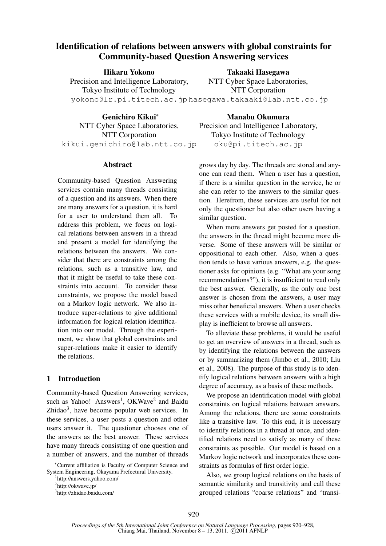# Identification of relations between answers with global constraints for Community-based Question Answering services

Hikaru Yokono Precision and Intelligence Laboratory, Tokyo Institute of Technology yokono@lr.pi.titech.ac.jp hasegawa.takaaki@lab.ntt.co.jp Takaaki Hasegawa NTT Cyber Space Laboratories, NTT Corporation

Genichiro Kikui<sup>∗</sup> NTT Cyber Space Laboratories, NTT Corporation kikui.genichiro@lab.ntt.co.jp

### **Abstract**

Community-based Question Answering services contain many threads consisting of a question and its answers. When there are many answers for a question, it is hard for a user to understand them all. To address this problem, we focus on logical relations between answers in a thread and present a model for identifying the relations between the answers. We consider that there are constraints among the relations, such as a transitive law, and that it might be useful to take these constraints into account. To consider these constraints, we propose the model based on a Markov logic network. We also introduce super-relations to give additional information for logical relation identification into our model. Through the experiment, we show that global constraints and super-relations make it easier to identify the relations.

# 1 Introduction

Community-based Question Answering services, such as Yahoo! Answers<sup>1</sup>, OKWave<sup>2</sup> and Baidu Zhidao<sup>3</sup>, have become popular web services. In these services, a user posts a question and other users answer it. The questioner chooses one of the answers as the best answer. These services have many threads consisting of one question and a number of answers, and the number of threads

Manabu Okumura Precision and Intelligence Laboratory, Tokyo Institute of Technology oku@pi.titech.ac.jp

grows day by day. The threads are stored and anyone can read them. When a user has a question, if there is a similar question in the service, he or she can refer to the answers to the similar question. Herefrom, these services are useful for not only the questioner but also other users having a similar question.

When more answers get posted for a question, the answers in the thread might become more diverse. Some of these answers will be similar or oppositional to each other. Also, when a question tends to have various answers, e.g. the questioner asks for opinions (e.g. "What are your song recommendations?"), it is insufficient to read only the best answer. Generally, as the only one best answer is chosen from the answers, a user may miss other beneficial answers. When a user checks these services with a mobile device, its small display is inefficient to browse all answers.

To alleviate these problems, it would be useful to get an overview of answers in a thread, such as by identifying the relations between the answers or by summarizing them (Jimbo et al., 2010; Liu et al., 2008). The purpose of this study is to identify logical relations between answers with a high degree of accuracy, as a basis of these methods.

We propose an identification model with global constraints on logical relations between answers. Among the relations, there are some constraints like a transitive law. To this end, it is necessary to identify relations in a thread at once, and identified relations need to satisfy as many of these constraints as possible. Our model is based on a Markov logic network and incorporates these constraints as formulas of first order logic.

Also, we group logical relations on the basis of semantic similarity and transitivity and call these grouped relations "coarse relations" and "transi-

<sup>∗</sup>Current affiliation is Faculty of Computer Science and System Engineering, Okayama Prefectural University.

<sup>1</sup> http://answers.yahoo.com/

<sup>&</sup>lt;sup>2</sup>http://okwave.jp/

<sup>&</sup>lt;sup>3</sup>http://zhidao.baidu.com/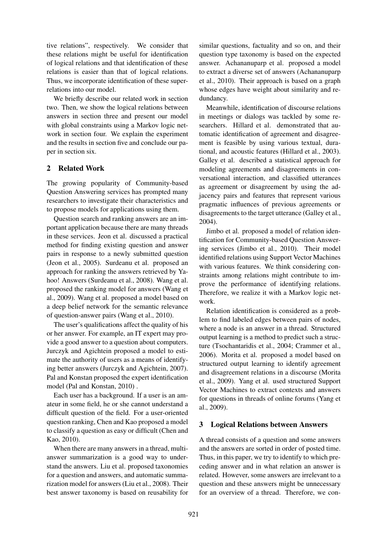tive relations", respectively. We consider that these relations might be useful for identification of logical relations and that identification of these relations is easier than that of logical relations. Thus, we incorporate identification of these superrelations into our model.

We briefly describe our related work in section two. Then, we show the logical relations between answers in section three and present our model with global constraints using a Markov logic network in section four. We explain the experiment and the results in section five and conclude our paper in section six.

# 2 Related Work

The growing popularity of Community-based Question Answering services has prompted many researchers to investigate their characteristics and to propose models for applications using them.

Question search and ranking answers are an important application because there are many threads in these services. Jeon et al. discussed a practical method for finding existing question and answer pairs in response to a newly submitted question (Jeon et al., 2005). Surdeanu et al. proposed an approach for ranking the answers retrieved by Yahoo! Answers (Surdeanu et al., 2008). Wang et al. proposed the ranking model for answers (Wang et al., 2009). Wang et al. proposed a model based on a deep belief network for the semantic relevance of question-answer pairs (Wang et al., 2010).

The user's qualifications affect the quality of his or her answer. For example, an IT expert may provide a good answer to a question about computers. Jurczyk and Agichtein proposed a model to estimate the authority of users as a means of identifying better answers (Jurczyk and Agichtein, 2007). Pal and Konstan proposed the expert identification model (Pal and Konstan, 2010) .

Each user has a background. If a user is an amateur in some field, he or she cannot understand a difficult question of the field. For a user-oriented question ranking, Chen and Kao proposed a model to classify a question as easy or difficult (Chen and Kao, 2010).

When there are many answers in a thread, multianswer summarization is a good way to understand the answers. Liu et al. proposed taxonomies for a question and answers, and automatic summarization model for answers (Liu et al., 2008). Their best answer taxonomy is based on reusability for

similar questions, factuality and so on, and their question type taxonomy is based on the expected answer. Achananuparp et al. proposed a model to extract a diverse set of answers (Achananuparp et al., 2010). Their approach is based on a graph whose edges have weight about similarity and redundancy.

Meanwhile, identification of discourse relations in meetings or dialogs was tackled by some researchers. Hillard et al. demonstrated that automatic identification of agreement and disagreement is feasible by using various textual, durational, and acoustic features (Hillard et al., 2003). Galley et al. described a statistical approach for modeling agreements and disagreements in conversational interaction, and classified utterances as agreement or disagreement by using the adjacency pairs and features that represent various pragmatic influences of previous agreements or disagreements to the target utterance (Galley et al., 2004).

Jimbo et al. proposed a model of relation identification for Community-based Question Answering services (Jimbo et al., 2010). Their model identified relations using Support Vector Machines with various features. We think considering constraints among relations might contribute to improve the performance of identifying relations. Therefore, we realize it with a Markov logic network.

Relation identification is considered as a problem to find labeled edges between pairs of nodes, where a node is an answer in a thread. Structured output learning is a method to predict such a structure (Tsochantaridis et al., 2004; Crammer et al., 2006). Morita et al. proposed a model based on structured output learning to identify agreement and disagreement relations in a discourse (Morita et al., 2009). Yang et al. used structured Support Vector Machines to extract contexts and answers for questions in threads of online forums (Yang et al., 2009).

#### 3 Logical Relations between Answers

A thread consists of a question and some answers and the answers are sorted in order of posted time. Thus, in this paper, we try to identify to which preceding answer and in what relation an answer is related. However, some answers are irrelevant to a question and these answers might be unnecessary for an overview of a thread. Therefore, we con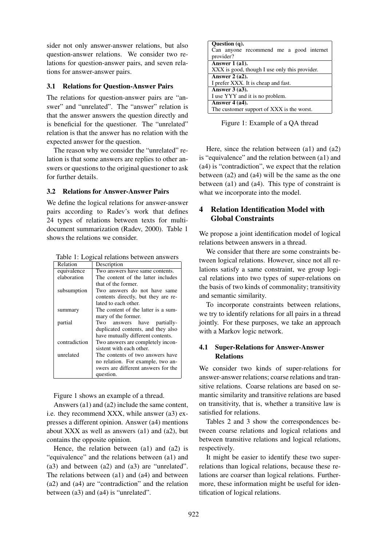sider not only answer-answer relations, but also question-answer relations. We consider two relations for question-answer pairs, and seven relations for answer-answer pairs.

#### 3.1 Relations for Question-Answer Pairs

The relations for question-answer pairs are "answer" and "unrelated". The "answer" relation is that the answer answers the question directly and is beneficial for the questioner. The "unrelated" relation is that the answer has no relation with the expected answer for the question.

The reason why we consider the "unrelated" relation is that some answers are replies to other answers or questions to the original questioner to ask for further details.

#### 3.2 Relations for Answer-Answer Pairs

We define the logical relations for answer-answer pairs according to Radev's work that defines 24 types of relations between texts for multidocument summarization (Radev, 2000). Table 1 shows the relations we consider.

| Table 1. Logical relations between allswers |                                     |  |  |
|---------------------------------------------|-------------------------------------|--|--|
| Relation                                    | Description                         |  |  |
| equivalence                                 | Two answers have same contents.     |  |  |
| elaboration                                 | The content of the latter includes  |  |  |
|                                             | that of the former.                 |  |  |
| subsumption                                 | Two answers do not have same        |  |  |
|                                             | contents directly, but they are re- |  |  |
|                                             | lated to each other.                |  |  |
| summary                                     | The content of the latter is a sum- |  |  |
|                                             | mary of the former.                 |  |  |
| partial                                     | Two answers have partially-         |  |  |
|                                             | duplicated contents, and they also  |  |  |
|                                             | have mutually different contents.   |  |  |
| contradiction                               | Two answers are completely incon-   |  |  |
|                                             | sistent with each other.            |  |  |
| unrelated                                   | The contents of two answers have    |  |  |
|                                             | no relation. For example, two an-   |  |  |
|                                             | swers are different answers for the |  |  |
|                                             | question.                           |  |  |

Table 1: Logical relations between answers

Figure 1 shows an example of a thread.

Answers (a1) and (a2) include the same content, i.e. they recommend XXX, while answer (a3) expresses a different opinion. Answer (a4) mentions about XXX as well as answers (a1) and (a2), but contains the opposite opinion.

Hence, the relation between (a1) and (a2) is "equivalence" and the relations between (a1) and (a3) and between (a2) and (a3) are "unrelated". The relations between (a1) and (a4) and between (a2) and (a4) are "contradiction" and the relation between (a3) and (a4) is "unrelated".

| Ouestion $(q)$ .                              |
|-----------------------------------------------|
| Can anyone recommend me a good internet       |
| provider?                                     |
| Answer $1$ (a1).                              |
| XXX is good, though I use only this provider. |
| Answer $2$ (a2).                              |
| I prefer XXX. It is cheap and fast.           |
| Answer $3$ (a3).                              |
| I use YYY and it is no problem.               |
| Answer $4$ (a4).                              |
| The customer support of XXX is the worst.     |

Figure 1: Example of a QA thread

Here, since the relation between (a1) and (a2) is "equivalence" and the relation between (a1) and (a4) is "contradiction", we expect that the relation between (a2) and (a4) will be the same as the one between (a1) and (a4). This type of constraint is what we incorporate into the model.

# 4 Relation Identification Model with Global Constraints

We propose a joint identification model of logical relations between answers in a thread.

We consider that there are some constraints between logical relations. However, since not all relations satisfy a same constraint, we group logical relations into two types of super-relations on the basis of two kinds of commonality; transitivity and semantic similarity.

To incorporate constraints between relations, we try to identify relations for all pairs in a thread jointly. For these purposes, we take an approach with a Markov logic network.

# 4.1 Super-Relations for Answer-Answer Relations

We consider two kinds of super-relations for answer-answer relations; coarse relations and transitive relations. Coarse relations are based on semantic similarity and transitive relations are based on transitivity, that is, whether a transitive law is satisfied for relations.

Tables 2 and 3 show the correspondences between coarse relations and logical relations and between transitive relations and logical relations, respectively.

It might be easier to identify these two superrelations than logical relations, because these relations are coarser than logical relations. Furthermore, these information might be useful for identification of logical relations.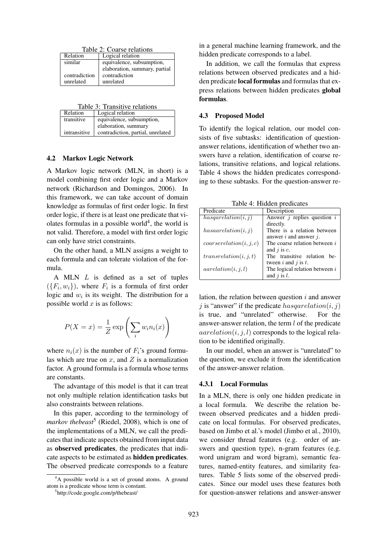Table 2: Coarse relations

| Relation      | Logical relation              |
|---------------|-------------------------------|
| similar       | equivalence, subsumption,     |
|               | elaboration, summary, partial |
| contradiction | contradiction                 |
| unrelated     | unrelated                     |

|  |  | Table 3: Transitive relations |
|--|--|-------------------------------|
|  |  |                               |

| Relation     | Logical relation                  |
|--------------|-----------------------------------|
| transitive   | equivalence, subsumption,         |
|              | elaboration, summary              |
| intransitive | contradiction, partial, unrelated |

#### 4.2 Markov Logic Network

A Markov logic network (MLN, in short) is a model combining first order logic and a Markov network (Richardson and Domingos, 2006). In this framework, we can take account of domain knowledge as formulas of first order logic. In first order logic, if there is at least one predicate that violates formulas in a possible world<sup>4</sup>, the world is not valid. Therefore, a model with first order logic can only have strict constraints.

On the other hand, a MLN assigns a weight to each formula and can tolerate violation of the formula.

A MLN L is defined as a set of tuples  $(\{F_i, w_i\})$ , where  $F_i$  is a formula of first order logic and  $w_i$  is its weight. The distribution for a possible world  $x$  is as follows:

$$
P(X = x) = \frac{1}{Z} \exp\left(\sum_{i} w_i n_i(x)\right)
$$

where  $n_i(x)$  is the number of  $F_i$ 's ground formulas which are true on  $x$ , and  $Z$  is a normalization factor. A ground formula is a formula whose terms are constants.

The advantage of this model is that it can treat not only multiple relation identification tasks but also constraints between relations.

In this paper, according to the terminology of markov thebeast<sup>5</sup> (Riedel, 2008), which is one of the implementations of a MLN, we call the predicates that indicate aspects obtained from input data as observed predicates, the predicates that indicate aspects to be estimated as hidden predicates. The observed predicate corresponds to a feature

in a general machine learning framework, and the hidden predicate corresponds to a label.

In addition, we call the formulas that express relations between observed predicates and a hidden predicate local formulas and formulas that express relations between hidden predicates global formulas.

#### 4.3 Proposed Model

To identify the logical relation, our model consists of five subtasks: identification of questionanswer relations, identification of whether two answers have a relation, identification of coarse relations, transitive relations, and logical relations. Table 4 shows the hidden predicates corresponding to these subtasks. For the question-answer re-

Table 4: Hidden predicates

| Predicate               | Description                      |
|-------------------------|----------------------------------|
| has a relation (i, j)   | Answer $i$ replies question $i$  |
|                         | directly.                        |
| has a a relation (i, j) | There is a relation between      |
|                         | answer i and answer $i$ .        |
| coarserelation(i, j, c) | The coarse relation between $i$  |
|                         | and $j$ is $c$ .                 |
| transrelation(i, j, t)  | The transitive relation<br>he-   |
|                         | tween $i$ and $j$ is $t$ .       |
| $\arrelation(i, j, l)$  | The logical relation between $i$ |
|                         | and $i$ is $l$ .                 |

lation, the relation between question  $i$  and answer j is "answer" if the predicate  $hasq arelation(i, j)$ is true, and "unrelated" otherwise. For the answer-answer relation, the term  $l$  of the predicate  $\arrelation(i, j, l)$  corresponds to the logical relation to be identified originally.

In our model, when an answer is "unrelated" to the question, we exclude it from the identification of the answer-answer relation.

#### 4.3.1 Local Formulas

In a MLN, there is only one hidden predicate in a local formula. We describe the relation between observed predicates and a hidden predicate on local formulas. For observed predicates, based on Jimbo et al.'s model (Jimbo et al., 2010), we consider thread features (e.g. order of answers and question type), n-gram features (e.g. word unigram and word bigram), semantic features, named-entity features, and similarity features. Table 5 lists some of the observed predicates. Since our model uses these features both for question-answer relations and answer-answer

 $A^{4}A$  possible world is a set of ground atoms. A ground atom is a predicate whose term is constant.

<sup>5</sup> http://code.google.com/p/thebeast/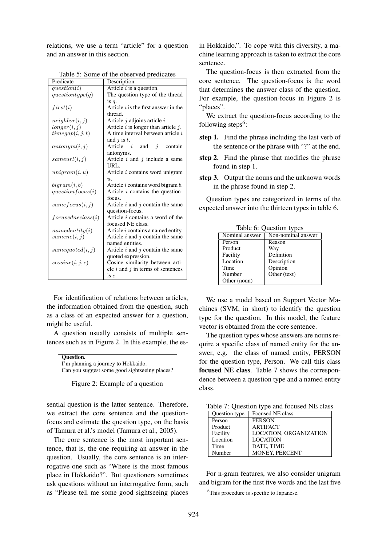relations, we use a term "article" for a question and an answer in this section.

|                         | raone st some of the observed predicates  |
|-------------------------|-------------------------------------------|
| Predicate               | Description                               |
| question(i)             | Article $i$ is a question.                |
| questiontype(q)         | The question type of the thread           |
|                         | is $q$ .                                  |
| first(i)                | Article $i$ is the first answer in the    |
|                         | thread.                                   |
| neighbor(i, j)          | Article $i$ adjoins article $i$ .         |
| longer(i, j)            | Article $i$ is longer than article $j$ .  |
| timegap(i, j, t)        | A time interval between article i         |
|                         | and $i$ is $t$ .                          |
| $\mathit{antonym}(i,j)$ | Article $i$<br>and $i$<br>contain         |
|                         | antonyms.                                 |
| sameurl(i, j)           | Article $i$ and $j$ include a same        |
|                         | URL.                                      |
| unigram(i, u)           | Article <i>i</i> contains word unigram    |
|                         | $u_{\cdot}$                               |
| bigram(i, b)            | Article i contains word bigram $b$ .      |
| question focus(i)       | Article $i$ contains the question-        |
|                         | focus.                                    |
| same focus(i, j)        | Article $i$ and $j$ contain the same      |
|                         | question-focus.                           |
| focused ne class(i)     | Article $i$ contains a word of the        |
|                         | focused NE class.                         |
| $name\{dentity(i)\}$    | Article <i>i</i> contains a named entity. |
| same (i, j)             | Article $i$ and $j$ contain the same      |
|                         | named entities.                           |
| same quoted(i, j)       | Article $i$ and $j$ contain the same      |
|                         | quoted expression.                        |
| scosine(i, j, c)        | Cosine similarity between arti-           |
|                         | cle $i$ and $j$ in terms of sentences     |
|                         | is c                                      |
|                         |                                           |

Table 5: Some of the observed predicates

For identification of relations between articles, the information obtained from the question, such as a class of an expected answer for a question, might be useful.

A question usually consists of multiple sentences such as in Figure 2. In this example, the es-

| Question.                                     |
|-----------------------------------------------|
| I'm planning a journey to Hokkaido.           |
| Can you suggest some good sightseeing places? |

Figure 2: Example of a question

sential question is the latter sentence. Therefore, we extract the core sentence and the questionfocus and estimate the question type, on the basis of Tamura et al.'s model (Tamura et al., 2005).

The core sentence is the most important sentence, that is, the one requiring an answer in the question. Usually, the core sentence is an interrogative one such as "Where is the most famous place in Hokkaido?". But questioners sometimes ask questions without an interrogative form, such as "Please tell me some good sightseeing places

in Hokkaido.". To cope with this diversity, a machine learning approach is taken to extract the core sentence.

The question-focus is then extracted from the core sentence. The question-focus is the word that determines the answer class of the question. For example, the question-focus in Figure 2 is "places".

We extract the question-focus according to the following steps<sup>6</sup>:

- step 1. Find the phrase including the last verb of the sentence or the phrase with "?" at the end.
- step 2. Find the phrase that modifies the phrase found in step 1.
- step 3. Output the nouns and the unknown words in the phrase found in step 2.

Question types are categorized in terms of the expected answer into the thirteen types in table 6.

Table 6: Question types

| Nominal answer | Non-nominal answer |
|----------------|--------------------|
| Person         | Reason             |
| Product        | Way                |
| Facility       | Definition         |
| Location       | Description        |
| Time           | Opinion            |
| Number         | Other (text)       |
| Other (noun)   |                    |
|                |                    |

We use a model based on Support Vector Machines (SVM, in short) to identify the question type for the question. In this model, the feature vector is obtained from the core sentence.

The question types whose answers are nouns require a specific class of named entity for the answer, e.g. the class of named entity, PERSON for the question type, Person. We call this class focused NE class. Table 7 shows the correspondence between a question type and a named entity class.

| Table 7: Question type and focused NE class |  |  |  |  |  |  |
|---------------------------------------------|--|--|--|--|--|--|
|---------------------------------------------|--|--|--|--|--|--|

| Question type | <b>Focused NE class</b>       |
|---------------|-------------------------------|
| Person        | <b>PERSON</b>                 |
| Product       | <b>ARTIFACT</b>               |
| Facility      | <b>LOCATION, ORGANIZATION</b> |
| Location      | <b>LOCATION</b>               |
| Time          | DATE, TIME                    |
| Number        | MONEY, PERCENT                |

For n-gram features, we also consider unigram and bigram for the first five words and the last five

<sup>6</sup>This procedure is specific to Japanese.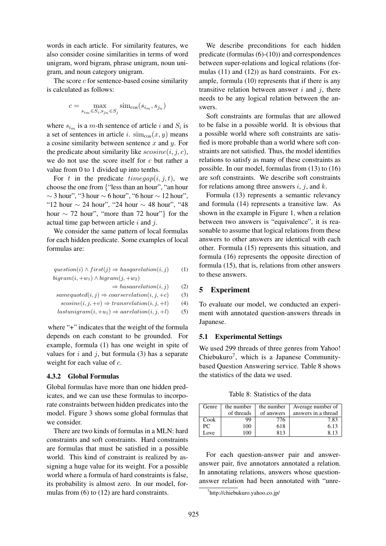words in each article. For similarity features, we also consider cosine similarities in terms of word unigram, word bigram, phrase unigram, noun unigram, and noun category unigram.

The score  $c$  for sentence-based cosine similarity is calculated as follows:

$$
c = \max_{s_{i_m} \in S_i, s_{j_n} \in S_j} \text{sim}_{\text{cos}}(s_{i_m}, s_{j_n})
$$

where  $s_{i_m}$  is a m-th sentence of article i and  $S_i$  is a set of sentences in article i.  $\operatorname{sim}_{\cos}(x, y)$  means a cosine similarity between sentence  $x$  and  $y$ . For the predicate about similarity like  $scosine(i, j, c)$ , we do not use the score itself for  $c$  but rather a value from 0 to 1 divided up into tenths.

For t in the predicate  $timegap(i, j, t)$ , we choose the one from {"less than an hour", "an hour  $\sim$  3 hour", "3 hour  $\sim$  6 hour", "6 hour  $\sim$  12 hour", "12 hour ∼ 24 hour", "24 hour ∼ 48 hour", "48 hour  $\sim$  72 hour", "more than 72 hour"} for the actual time gap between article  $i$  and  $j$ .

We consider the same pattern of local formulas for each hidden predicate. Some examples of local formulas are:

$$
question(i) \land first(j) \Rightarrow hasq a relation(i, j) \qquad (1)
$$

 $bigram(i, +w_1) \wedge bigram(j, +w_2)$ 

 $\Rightarrow has a reflection(i, j)$  (2)

 $same quoted(i, j) \Rightarrow coarserelation(i, j, +c)$  (3)

$$
scosine(i, j, +v) \Rightarrow transrelation(i, j, +t)
$$
 (4)

$$
lastunigram(i, +u_1) \Rightarrow a arelation(i, j, +l)
$$
 (5)

where "+" indicates that the weight of the formula depends on each constant to be grounded. For example, formula (1) has one weight in spite of values for  $i$  and  $j$ , but formula (3) has a separate weight for each value of c.

#### 4.3.2 Global Formulas

Global formulas have more than one hidden predicates, and we can use these formulas to incorporate constraints between hidden predicates into the model. Figure 3 shows some global formulas that we consider.

There are two kinds of formulas in a MLN: hard constraints and soft constraints. Hard constraints are formulas that must be satisfied in a possible world. This kind of constraint is realized by assigning a huge value for its weight. For a possible world where a formula of hard constraints is false, its probability is almost zero. In our model, formulas from (6) to (12) are hard constraints.

We describe preconditions for each hidden predicate (formulas (6)-(10)) and correspondences between super-relations and logical relations (formulas (11) and (12)) as hard constraints. For example, formula (10) represents that if there is any transitive relation between answer  $i$  and  $j$ , there needs to be any logical relation between the answers.

Soft constraints are formulas that are allowed to be false in a possible world. It is obvious that a possible world where soft constraints are satisfied is more probable than a world where soft constraints are not satisfied. Thus, the model identifies relations to satisfy as many of these constraints as possible. In our model, formulas from (13) to (16) are soft constraints. We describe soft constraints for relations among three answers  $i, j$ , and  $k$ .

Formula (13) represents a semantic relevancy and formula (14) represents a transitive law. As shown in the example in Figure 1, when a relation between two answers is "equivalence", it is reasonable to assume that logical relations from these answers to other answers are identical with each other. Formula (15) represents this situation, and formula (16) represents the opposite direction of formula (15), that is, relations from other answers to these answers.

# 5 Experiment

To evaluate our model, we conducted an experiment with annotated question-answers threads in Japanese.

#### 5.1 Experimental Settings

We used 299 threads of three genres from Yahoo! Chiebukuro<sup>7</sup>, which is a Japanese Communitybased Question Answering service. Table 8 shows the statistics of the data we used.

Table 8: Statistics of the data

| Genre | the number | the number | Average number of   |
|-------|------------|------------|---------------------|
|       | of threads | of answers | answers in a thread |
| Cook  | 99         | 776        | 7.83                |
| PC.   | 100        | 618        | 6.13                |
| Love  | 1 O C      | 813        | 8 1 °               |

For each question-answer pair and answeranswer pair, five annotators annotated a relation. In annotating relations, answers whose questionanswer relation had been annotated with "unre-

<sup>7</sup> http://chiebukuro.yahoo.co.jp/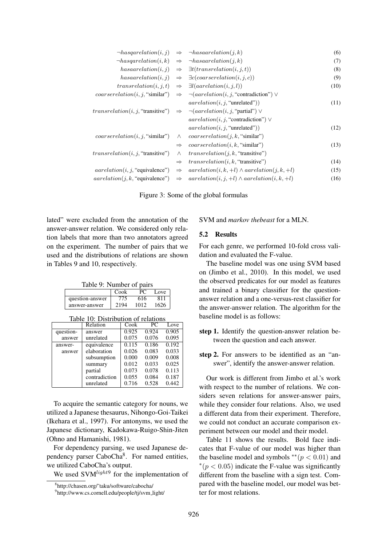| $\neg has a relation (i, j)$       | $\Rightarrow$ | $\neg has a a relation (i, k)$                       | (6)  |
|------------------------------------|---------------|------------------------------------------------------|------|
| $\neg has a relation (i, k)$       | $\Rightarrow$ | $\neg has a a relation (j, k)$                       | (7)  |
| has a a relation (i, j)            | $\Rightarrow$ | $\exists t (transrelation(i, j, t))$                 | (8)  |
| has a a relation (i, j)            | $\Rightarrow$ | $\exists c (coarserelation(i, j, c))$                | (9)  |
| transrelation(i, j, t)             | $\Rightarrow$ | $\exists l(aarelation(i, j, l))$                     | (10) |
| coarserelation(i, j, "similar")    | $\Rightarrow$ | $\neg (a arelation(i, j, "contradiction") \vee$      |      |
|                                    |               | $\arrelation(i, j, "unrelated")$                     | (11) |
| transrelation(i, j, "transitive")  | $\Rightarrow$ | $\neg (a arelation(i, j, "partial") \vee$            |      |
|                                    |               | $\arrelation(i, j, \text{``contradiction''}) \vee$   |      |
|                                    |               | $\arrelation(i, j, "unrelated")$                     | (12) |
| coarserelation(i, j, "similar")    | $\wedge$      | coarserelation(j, k, "similar")                      |      |
|                                    | $\Rightarrow$ | coarserelation(i, k, "similar")                      | (13) |
| transrelation(i, j, "transitive")  | $\wedge$      | transrelation(j, k, "transitive")                    |      |
|                                    | $\Rightarrow$ | transrelation(i, k, "transitive")                    | (14) |
| $\arrelation(i, j, "equivalence")$ | $\Rightarrow$ | $\arrelation(i, k, +l) \wedge \arrelation(j, k, +l)$ | (15) |
| $\arrelation(j, k, "equivalence")$ | $\Rightarrow$ | $\arrelation(i, j, +l) \wedge \arrelation(i, k, +l)$ | (16) |
|                                    |               |                                                      |      |

Figure 3: Some of the global formulas

lated" were excluded from the annotation of the answer-answer relation. We considered only relation labels that more than two annotators agreed on the experiment. The number of pairs that we used and the distributions of relations are shown in Tables 9 and 10, respectively.

Table 9: Number of pairs

|                 | Cook |      | Love |
|-----------------|------|------|------|
| question-answer | 775  | 616  | 811  |
| answer-answer   | 2194 | 1012 | 1626 |

|  |  | Table 10: Distribution of relations |
|--|--|-------------------------------------|
|  |  |                                     |

|           | Relation      | Cook  | РC    | Love  |
|-----------|---------------|-------|-------|-------|
| question- | answer        | 0.925 | 0.924 | 0.905 |
| answer    | unrelated     | 0.075 | 0.076 | 0.095 |
| answer-   | equivalence   | 0.115 | 0.186 | 0.192 |
| answer    | elaboration   | 0.026 | 0.083 | 0.033 |
|           | subsumption   | 0.000 | 0.009 | 0.008 |
|           | summary       | 0.012 | 0.033 | 0.025 |
|           | partial       | 0.073 | 0.078 | 0.113 |
|           | contradiction | 0.055 | 0.084 | 0.187 |
|           | unrelated     | 0.716 | 0.528 | 0.442 |

To acquire the semantic category for nouns, we utilized a Japanese thesaurus, Nihongo-Goi-Taikei (Ikehara et al., 1997). For antonyms, we used the Japanese dictionary, Kadokawa-Ruigo-Shin-Jiten (Ohno and Hamanishi, 1981).

For dependency parsing, we used Japanese dependency parser CaboCha<sup>8</sup>. For named entities, we utilized CaboCha's output.

We used SV $M^{light9}$  for the implementation of

SVM and *markov thebeast* for a MLN.

#### 5.2 Results

For each genre, we performed 10-fold cross validation and evaluated the F-value.

The baseline model was one using SVM based on (Jimbo et al., 2010). In this model, we used the observed predicates for our model as features and trained a binary classifier for the questionanswer relation and a one-versus-rest classifier for the answer-answer relation. The algorithm for the baseline model is as follows:

- step 1. Identify the question-answer relation between the question and each answer.
- step 2. For answers to be identified as an "answer", identify the answer-answer relation.

Our work is different from Jimbo et al.'s work with respect to the number of relations. We considers seven relations for answer-answer pairs, while they consider four relations. Also, we used a different data from their experiment. Therefore, we could not conduct an accurate comparison experiment between our model and their model.

Table 11 shows the results. Bold face indicates that F-value of our model was higher than the baseline model and symbols  $^{**}(p < 0.01)$  and  $*(p < 0.05)$  indicate the F-value was significantly different from the baseline with a sign test. Compared with the baseline model, our model was better for most relations.

<sup>8</sup> http://chasen.org/˜taku/software/cabocha/

<sup>9</sup> http://www.cs.cornell.edu/people/tj/svm light/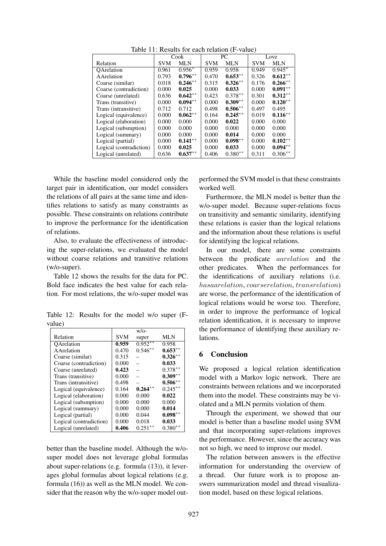| Table 11: Results for each relation (F-value) |  |  |  |  |  |  |  |
|-----------------------------------------------|--|--|--|--|--|--|--|
|-----------------------------------------------|--|--|--|--|--|--|--|

|                         | Cook       |            | PС         |            | Love       |            |
|-------------------------|------------|------------|------------|------------|------------|------------|
| Relation                | <b>SVM</b> | <b>MLN</b> | <b>SVM</b> | <b>MLN</b> | <b>SVM</b> | MLN        |
| OArelation              | 0.961      | $0.956*$   | 0.959      | 0.958      | 0.949      | $0.945*$   |
| AArelation              | 0.793      | $0.796**$  | 0.470      | $0.653**$  | 0.326      | $0.612**$  |
| Coarse (similar)        | 0.018      | $0.246**$  | 0.315      | $0.326**$  | 0.176      | $0.266***$ |
| Coarse (contradiction)  | 0.000      | 0.025      | 0.000      | 0.033      | 0.000      | $0.091***$ |
| Coarse (unrelated)      | 0.636      | $0.642**$  | 0.423      | $0.378**$  | 0.301      | $0.312**$  |
| Trans (transitive)      | 0.000      | $0.094**$  | 0.000      | $0.309**$  | 0.000      | $0.120**$  |
| Trans (intransitive)    | 0.712      | 0.712      | 0.498      | $0.506**$  | 0.497      | 0.495      |
| Logical (equivalence)   | 0.000      | $0.062**$  | 0.164      | $0.245**$  | 0.019      | $0.116**$  |
| Logical (elaboration)   | 0.000      | 0.000      | 0.000      | 0.022      | 0.000      | 0.000      |
| Logical (subsmption)    | 0.000      | 0.000      | 0.000      | 0.000      | 0.000      | 0.000      |
| Logical (summary)       | 0.000      | 0.000      | 0.000      | 0.014      | 0.000      | 0.000      |
| Logical (partial)       | 0.000      | $0.141***$ | 0.000      | $0.098**$  | 0.000      | $0.102**$  |
| Logical (contradiction) | 0.000      | 0.025      | 0.000      | 0.033      | 0.000      | $0.094**$  |
| Logical (unrelated)     | 0.636      | $0.637**$  | 0.406      | $0.380**$  | 0.311      | $0.306**$  |

While the baseline model considered only the target pair in identification, our model considers the relations of all pairs at the same time and identifies relations to satisfy as many constraints as possible. These constraints on relations contribute to improve the performance for the identification of relations.

Also, to evaluate the effectiveness of introducing the super-relations, we evaluated the model without coarse relations and transitive relations (w/o-super).

Table 12 shows the results for the data for PC. Bold face indicates the best value for each relation. For most relations, the w/o-super model was

Table 12: Results for the model w/o super (Fvalue)

|                         |            | $W/O-$     |            |
|-------------------------|------------|------------|------------|
| Relation                | <b>SVM</b> | super      | MLN        |
| OArelation              | 0.959      | $0.952**$  | 0.958      |
| AArelation              | 0.470      | $0.546**$  | $0.653***$ |
| Coarse (similar)        | 0.315      |            | $0.326***$ |
| Coarse (contradiction)  | 0.000      |            | 0.033      |
| Coarse (unrelated)      | 0.423      |            | $0.378**$  |
| Trans (transitive)      | 0.000      |            | $0.309**$  |
| Trans (intransitive)    | 0.498      |            | $0.506***$ |
| Logical (equivalence)   | 0.164      | $0.264***$ | $0.245***$ |
| Logical (elaboration)   | 0.000      | 0.000      | 0.022      |
| Logical (subsmption)    | 0.000      | 0.000      | 0.000      |
| Logical (summary)       | 0.000      | 0.000      | 0.014      |
| Logical (partial)       | 0.000      | 0.044      | $0.098**$  |
| Logical (contradiction) | 0.000      | 0.018      | 0.033      |
| Logical (unrelated)     | 0.406      | $0.251***$ | $0.380**$  |

better than the baseline model. Although the w/osuper model does not leverage global formulas about super-relations (e.g. formula (13)), it leverages global formulas about logical relations (e.g. formula (16)) as well as the MLN model. We consider that the reason why the w/o-super model out-

performed the SVM model is that these constraints worked well.

Furthermore, the MLN model is better than the w/o-super model. Because super-relations focus on transitivity and semantic similarity, identifying these relations is easier than the logical relations and the information about these relations is useful for identifying the logical relations.

In our model, there are some constraints between the predicate aarelation and the other predicates. When the performances for the identifications of auxiliary relations (i.e. hasaarelation, coarserelation, transrelation) are worse, the performance of the identification of logical relations would be worse too. Therefore, in order to improve the performance of logical relation identification, it is necessary to improve the performance of identifying these auxiliary relations.

### 6 Conclusion

We proposed a logical relation identification model with a Markov logic network. There are constraints between relations and we incorporated them into the model. These constraints may be violated and a MLN permits violation of them.

Through the experiment, we showed that our model is better than a baseline model using SVM and that incorporating super-relations improves the performance. However, since the accuracy was not so high, we need to improve our model.

The relation between answers is the effective information for understanding the overview of a thread. Our future work is to propose answers summarization model and thread visualization model, based on these logical relations.